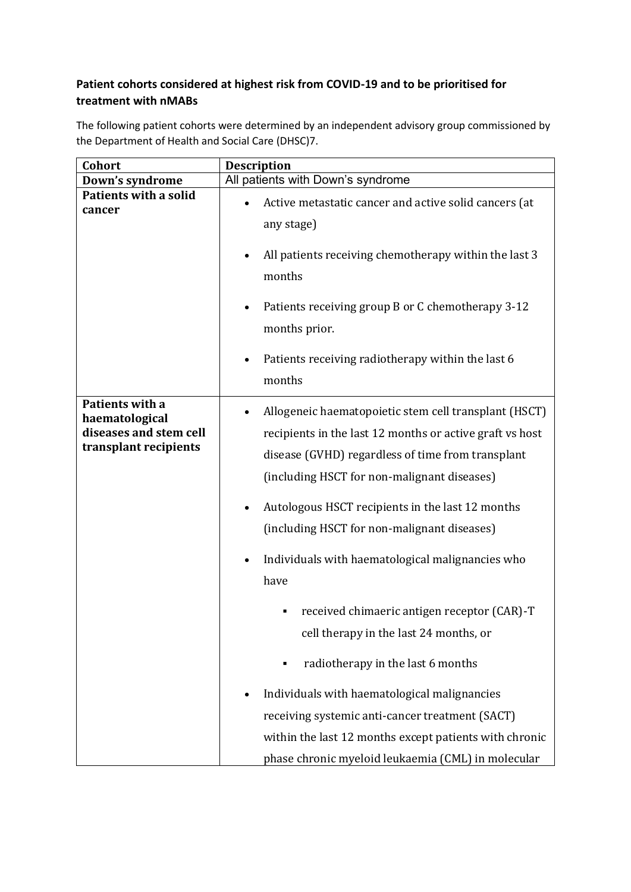## **Patient cohorts considered at highest risk from COVID-19 and to be prioritised for treatment with nMABs**

The following patient cohorts were determined by an independent advisory group commissioned by the Department of Health and Social Care (DHSC)7.

| Cohort                                                                               | <b>Description</b>                                                                                                                                                                                                                                                                                                       |
|--------------------------------------------------------------------------------------|--------------------------------------------------------------------------------------------------------------------------------------------------------------------------------------------------------------------------------------------------------------------------------------------------------------------------|
| Down's syndrome                                                                      | All patients with Down's syndrome                                                                                                                                                                                                                                                                                        |
| <b>Patients with a solid</b><br>cancer                                               | Active metastatic cancer and active solid cancers (at<br>any stage)                                                                                                                                                                                                                                                      |
|                                                                                      | All patients receiving chemotherapy within the last 3<br>months                                                                                                                                                                                                                                                          |
|                                                                                      | Patients receiving group B or C chemotherapy 3-12<br>months prior.                                                                                                                                                                                                                                                       |
|                                                                                      | Patients receiving radiotherapy within the last 6<br>٠<br>months                                                                                                                                                                                                                                                         |
| Patients with a<br>haematological<br>diseases and stem cell<br>transplant recipients | Allogeneic haematopoietic stem cell transplant (HSCT)<br>recipients in the last 12 months or active graft vs host<br>disease (GVHD) regardless of time from transplant<br>(including HSCT for non-malignant diseases)<br>Autologous HSCT recipients in the last 12 months<br>(including HSCT for non-malignant diseases) |
|                                                                                      | Individuals with haematological malignancies who<br>have                                                                                                                                                                                                                                                                 |
|                                                                                      | received chimaeric antigen receptor (CAR)-T<br>cell therapy in the last 24 months, or                                                                                                                                                                                                                                    |
|                                                                                      | radiotherapy in the last 6 months                                                                                                                                                                                                                                                                                        |
|                                                                                      | Individuals with haematological malignancies                                                                                                                                                                                                                                                                             |
|                                                                                      | receiving systemic anti-cancer treatment (SACT)                                                                                                                                                                                                                                                                          |
|                                                                                      | within the last 12 months except patients with chronic                                                                                                                                                                                                                                                                   |
|                                                                                      | phase chronic myeloid leukaemia (CML) in molecular                                                                                                                                                                                                                                                                       |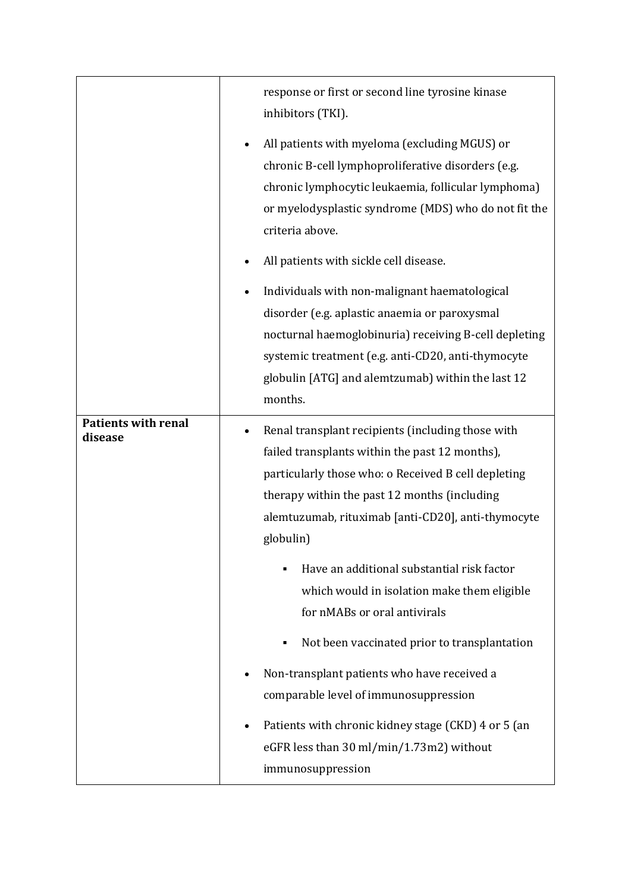|                                       | response or first or second line tyrosine kinase<br>inhibitors (TKI).<br>All patients with myeloma (excluding MGUS) or<br>chronic B-cell lymphoproliferative disorders (e.g.<br>chronic lymphocytic leukaemia, follicular lymphoma)<br>or myelodysplastic syndrome (MDS) who do not fit the<br>criteria above.                                                                                                                                                                                                                                                                                                                                                                  |
|---------------------------------------|---------------------------------------------------------------------------------------------------------------------------------------------------------------------------------------------------------------------------------------------------------------------------------------------------------------------------------------------------------------------------------------------------------------------------------------------------------------------------------------------------------------------------------------------------------------------------------------------------------------------------------------------------------------------------------|
|                                       | All patients with sickle cell disease.<br>Individuals with non-malignant haematological<br>disorder (e.g. aplastic anaemia or paroxysmal<br>nocturnal haemoglobinuria) receiving B-cell depleting<br>systemic treatment (e.g. anti-CD20, anti-thymocyte<br>globulin [ATG] and alemtzumab] within the last 12<br>months.                                                                                                                                                                                                                                                                                                                                                         |
| <b>Patients with renal</b><br>disease | Renal transplant recipients (including those with<br>failed transplants within the past 12 months),<br>particularly those who: o Received B cell depleting<br>therapy within the past 12 months (including<br>alemtuzumab, rituximab [anti-CD20], anti-thymocyte<br>globulin)<br>Have an additional substantial risk factor<br>which would in isolation make them eligible<br>for nMABs or oral antivirals<br>Not been vaccinated prior to transplantation<br>٠<br>Non-transplant patients who have received a<br>comparable level of immunosuppression<br>Patients with chronic kidney stage (CKD) 4 or 5 (an<br>eGFR less than 30 ml/min/1.73m2) without<br>immunosuppression |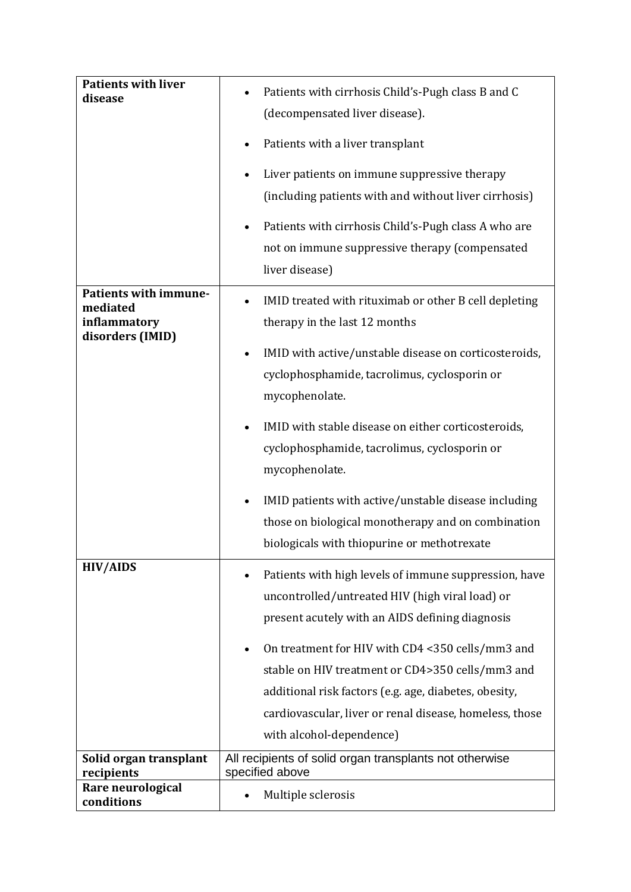| <b>Patients with liver</b><br>disease                                 | Patients with cirrhosis Child's-Pugh class B and C<br>(decompensated liver disease).<br>Patients with a liver transplant<br>$\bullet$<br>Liver patients on immune suppressive therapy<br>(including patients with and without liver cirrhosis) |
|-----------------------------------------------------------------------|------------------------------------------------------------------------------------------------------------------------------------------------------------------------------------------------------------------------------------------------|
|                                                                       | Patients with cirrhosis Child's-Pugh class A who are<br>not on immune suppressive therapy (compensated<br>liver disease)                                                                                                                       |
| Patients with immune-<br>mediated<br>inflammatory<br>disorders (IMID) | IMID treated with rituximab or other B cell depleting<br>therapy in the last 12 months<br>IMID with active/unstable disease on corticosteroids,<br>$\bullet$                                                                                   |
|                                                                       | cyclophosphamide, tacrolimus, cyclosporin or<br>mycophenolate.                                                                                                                                                                                 |
|                                                                       | IMID with stable disease on either corticosteroids,<br>cyclophosphamide, tacrolimus, cyclosporin or<br>mycophenolate.                                                                                                                          |
|                                                                       | IMID patients with active/unstable disease including<br>those on biological monotherapy and on combination<br>biologicals with thiopurine or methotrexate                                                                                      |
| <b>HIV/AIDS</b>                                                       | Patients with high levels of immune suppression, have<br>uncontrolled/untreated HIV (high viral load) or<br>present acutely with an AIDS defining diagnosis<br>On treatment for HIV with CD4 <350 cells/mm3 and<br>$\bullet$                   |
|                                                                       | stable on HIV treatment or CD4>350 cells/mm3 and<br>additional risk factors (e.g. age, diabetes, obesity,<br>cardiovascular, liver or renal disease, homeless, those<br>with alcohol-dependence)                                               |
| Solid organ transplant<br>recipients                                  | All recipients of solid organ transplants not otherwise<br>specified above                                                                                                                                                                     |
| Rare neurological<br>conditions                                       | Multiple sclerosis                                                                                                                                                                                                                             |